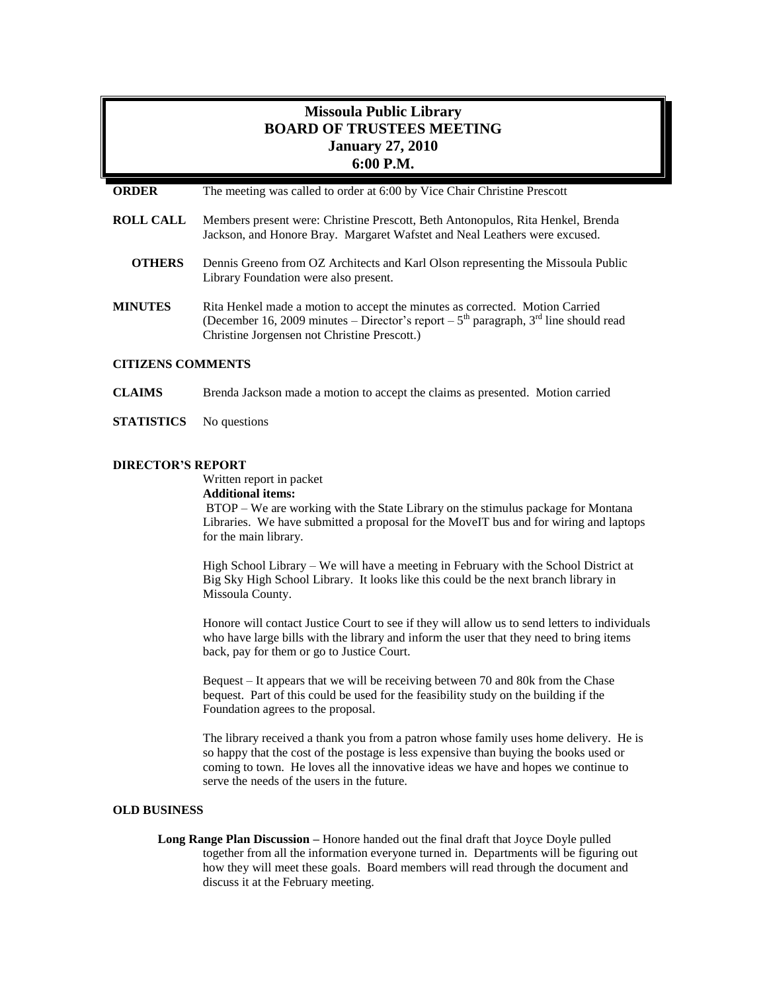# **Missoula Public Library BOARD OF TRUSTEES MEETING January 27, 2010 6:00 P.M.**

- **ROLL CALL** Members present were: Christine Prescott, Beth Antonopulos, Rita Henkel, Brenda Jackson, and Honore Bray. Margaret Wafstet and Neal Leathers were excused.
	- **OTHERS** Dennis Greeno from OZ Architects and Karl Olson representing the Missoula Public Library Foundation were also present.
- **MINUTES** Rita Henkel made a motion to accept the minutes as corrected. Motion Carried (December 16, 2009 minutes – Director's report –  $5<sup>th</sup>$  paragraph,  $3<sup>rd</sup>$  line should read Christine Jorgensen not Christine Prescott.)

## **CITIZENS COMMENTS**

- **CLAIMS** Brenda Jackson made a motion to accept the claims as presented. Motion carried
- **STATISTICS** No questions

#### **DIRECTOR'S REPORT**

Written report in packet

#### **Additional items:**

BTOP – We are working with the State Library on the stimulus package for Montana Libraries. We have submitted a proposal for the MoveIT bus and for wiring and laptops for the main library.

High School Library – We will have a meeting in February with the School District at Big Sky High School Library. It looks like this could be the next branch library in Missoula County.

Honore will contact Justice Court to see if they will allow us to send letters to individuals who have large bills with the library and inform the user that they need to bring items back, pay for them or go to Justice Court.

Bequest – It appears that we will be receiving between 70 and 80k from the Chase bequest. Part of this could be used for the feasibility study on the building if the Foundation agrees to the proposal.

The library received a thank you from a patron whose family uses home delivery. He is so happy that the cost of the postage is less expensive than buying the books used or coming to town. He loves all the innovative ideas we have and hopes we continue to serve the needs of the users in the future.

#### **OLD BUSINESS**

**Long Range Plan Discussion –** Honore handed out the final draft that Joyce Doyle pulled together from all the information everyone turned in. Departments will be figuring out how they will meet these goals. Board members will read through the document and discuss it at the February meeting.